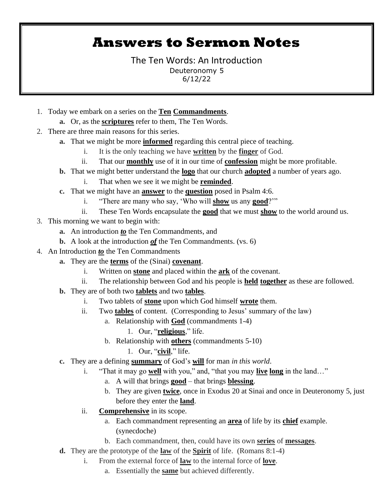## **Answers to Sermon Notes**

The Ten Words: An Introduction Deuteronomy 5 6/12/22

- 1. Today we embark on a series on the **Ten Commandments**.
	- **a.** Or, as the **scriptures** refer to them, The Ten Words.
- 2. There are three main reasons for this series.
	- **a.** That we might be more **informed** regarding this central piece of teaching.
		- i. It is the only teaching we have **written** by the **finger** of God.
		- ii. That our **monthly** use of it in our time of **confession** might be more profitable.
	- **b.** That we might better understand the **logo** that our church **adopted** a number of years ago.
		- i. That when we see it we might be **reminded**.
	- **c.** That we might have an **answer** to the **question** posed in Psalm 4:6.
		- i. "There are many who say, 'Who will **show** us any **good**?'"
		- ii. These Ten Words encapsulate the **good** that we must **show** to the world around us.
- 3. This morning we want to begin with:
	- **a.** An introduction *to* the Ten Commandments, and
	- **b.** A look at the introduction *of* the Ten Commandments. (vs. 6)
- 4. An Introduction *to* the Ten Commandments
	- **a.** They are the **terms** of the (Sinai) **covenant**.
		- i. Written on **stone** and placed within the **ark** of the covenant.
		- ii. The relationship between God and his people is **held together** as these are followed.
	- **b.** They are of both two **tablets** and two **tables**.
		- i. Two tablets of **stone** upon which God himself **wrote** them.
		- ii. Two **tables** of content. (Corresponding to Jesus' summary of the law)
			- a. Relationship with **God** (commandments 1-4)
				- 1. Our, "**religious**," life.
			- b. Relationship with **others** (commandments 5-10)
				- 1. Our, "**civil**," life.
	- **c.** They are a defining **summary** of God's **will** for man *in this world*.
		- i. "That it may go **well** with you," and, "that you may **live long** in the land…"
			- a. A will that brings **good** that brings **blessing**.
			- b. They are given **twice**, once in Exodus 20 at Sinai and once in Deuteronomy 5, just before they enter the **land**.
		- ii. **Comprehensive** in its scope.
			- a. Each commandment representing an **area** of life by its **chief** example. (synecdoche)
			- b. Each commandment, then, could have its own **series** of **messages**.
	- **d.** They are the prototype of the **law** of the **Spirit** of life. (Romans 8:1-4)
		- i. From the external force of **law** to the internal force of **love**.
			- a. Essentially the **same** but achieved differently.